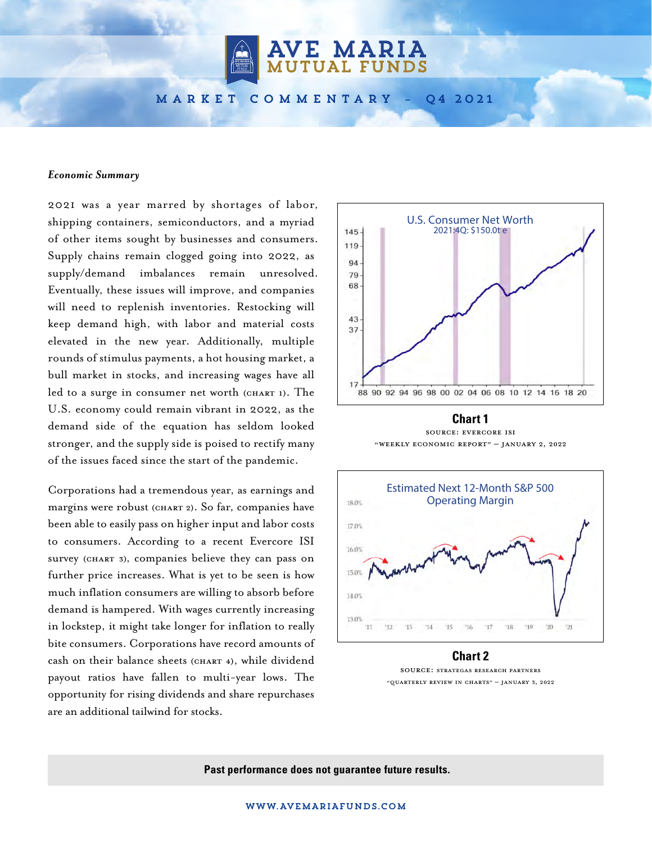**AVE MARIA**<br>MUTUAL FUNDS

market commentary – Q4 2021

### *Economic Summary*

2021 was a year marred by shortages of labor, shipping containers, semiconductors, and a myriad of other items sought by businesses and consumers. Supply chains remain clogged going into 2022, as supply/demand imbalances remain unresolved. Eventually, these issues will improve, and companies will need to replenish inventories. Restocking will keep demand high, with labor and material costs elevated in the new year. Additionally, multiple rounds of stimulus payments, a hot housing market, a bull market in stocks, and increasing wages have all led to a surge in consumer net worth (CHART 1). The U.S. economy could remain vibrant in 2022, as the demand side of the equation has seldom looked stronger, and the supply side is poised to rectify many of the issues faced since the start of the pandemic.

Corporations had a tremendous year, as earnings and margins were robust (CHART 2). So far, companies have been able to easily pass on higher input and labor costs to consumers. According to a recent Evercore ISI survey (CHART 3), companies believe they can pass on further price increases. What is yet to be seen is how much inflation consumers are willing to absorb before demand is hampered. With wages currently increasing in lockstep, it might take longer for inflation to really bite consumers. Corporations have record amounts of cash on their balance sheets (CHART 4), while dividend payout ratios have fallen to multi-year lows. The opportunity for rising dividends and share repurchases are an additional tailwind for stocks.



Source: Evercore ISI "Weekly Economic Report" – January 2, 2022



**Chart 2** Source: Strategas Research Partners "Quarterly Review in Charts" – January 3, 2022

**Past performance does not guarantee future results.**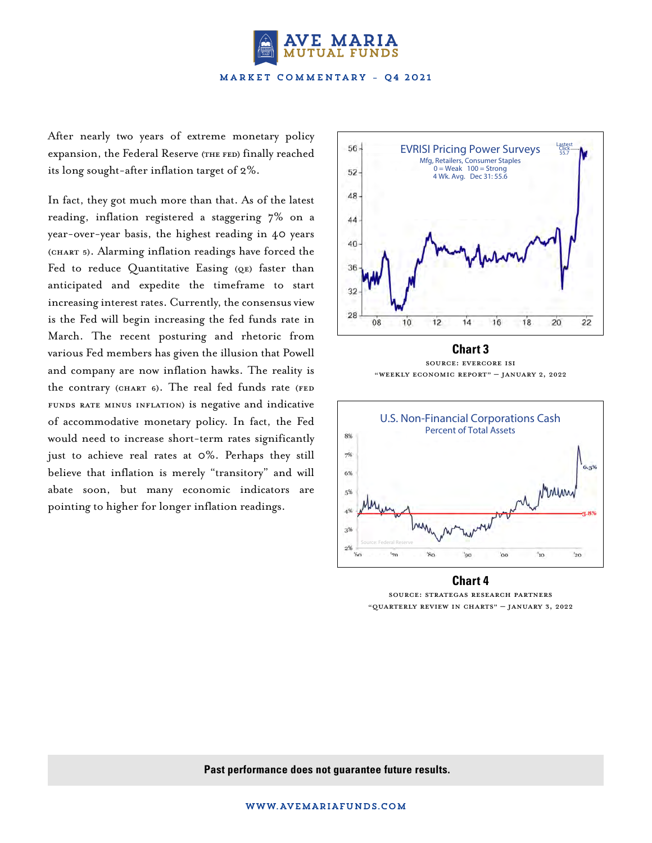

After nearly two years of extreme monetary policy expansion, the Federal Reserve (THE FED) finally reached its long sought-after inflation target of 2%.

In fact, they got much more than that. As of the latest reading, inflation registered a staggering 7% on a year-over-year basis, the highest reading in 40 years (CHART 5). Alarming inflation readings have forced the Fed to reduce Quantitative Easing (QE) faster than anticipated and expedite the timeframe to start increasing interest rates. Currently, the consensus view is the Fed will begin increasing the fed funds rate in March. The recent posturing and rhetoric from various Fed members has given the illusion that Powell and company are now inflation hawks. The reality is the contrary (CHART 6). The real fed funds rate (FED funds rate minus inflation) is negative and indicative of accommodative monetary policy. In fact, the Fed would need to increase short-term rates significantly just to achieve real rates at 0%. Perhaps they still believe that inflation is merely "transitory" and will abate soon, but many economic indicators are pointing to higher for longer inflation readings.



**Chart 3** Source: Evercore ISI "Weekly Economic Report" – JANUARY 2, 2022



**Chart 4** Source: Strategas Research Partners "Quarterly Review in Charts" – JANUARY 3, 2022

**Past performance does not guarantee future results.**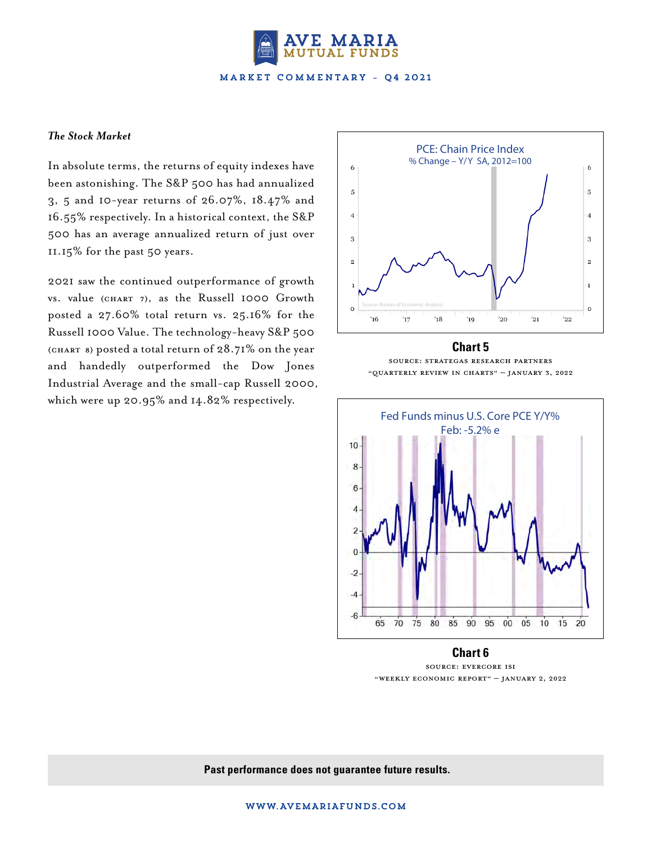

## *The Stock Market*

In absolute terms, the returns of equity indexes have been astonishing. The S&P 500 has had annualized 3, 5 and 10-year returns of 26.07%, 18.47% and 16.55% respectively. In a historical context, the S&P 500 has an average annualized return of just over 11.15% for the past 50 years.

2021 saw the continued outperformance of growth VS. value (CHART 7), as the Russell 1000 Growth posted a 27.60% total return vs. 25.16% for the Russell 1000 Value. The technology-heavy S&P 500 (CHART 8) posted a total return of  $28.71\%$  on the year and handedly outperformed the Dow Jones Industrial Average and the small-cap Russell 2000, which were up 20.95% and 14.82% respectively.



# **Chart 5** Source: Strategas Research Partners "Quarterly Review in Charts" – January 3, 2022



**Chart 6** Source: Evercore ISI "Weekly Economic Report" – JANUARY 2, 2022

## **Past performance does not guarantee future results.**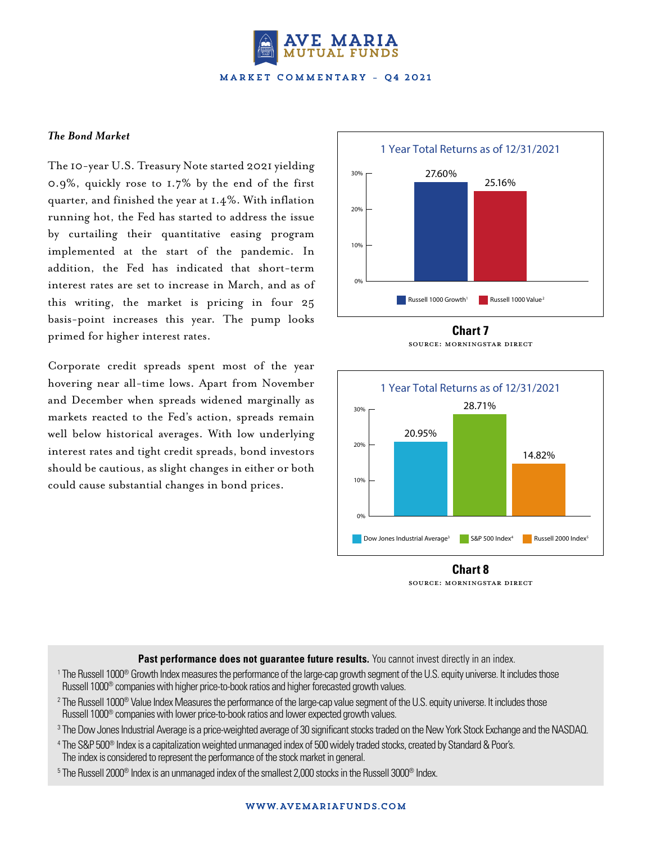

## *The Bond Market*

The 10-year U.S. Treasury Note started 2021 yielding 0.9%, quickly rose to 1.7% by the end of the first quarter, and finished the year at 1.4%. With inflation running hot, the Fed has started to address the issue by curtailing their quantitative easing program implemented at the start of the pandemic. In addition, the Fed has indicated that short-term interest rates are set to increase in March, and as of this writing, the market is pricing in four 25 basis-point increases this year. The pump looks primed for higher interest rates.

Corporate credit spreads spent most of the year hovering near all-time lows. Apart from November and December when spreads widened marginally as markets reacted to the Fed's action, spreads remain well below historical averages. With low underlying interest rates and tight credit spreads, bond investors should be cautious, as slight changes in either or both could cause substantial changes in bond prices.



#### **Chart 7** Source: Morningstar Direct



**Chart 8** Source: Morningstar Direct

Past performance does not guarantee future results. You cannot invest directly in an index.

- <sup>1</sup> The Russell 1000® Growth Index measures the performance of the large-cap growth segment of the U.S. equity universe. It includes those Russell 1000® companies with higher price-to-book ratios and higher forecasted growth values.
- 2 The Russell 1000® Value Index Measures the performance of the large-cap value segment of the U.S. equity universe. It includes those Russell 1000® companies with lower price-to-book ratios and lower expected growth values.
- 3 The Dow Jones Industrial Average is a price-weighted average of 30 significant stocks traded on the New York Stock Exchange and the NASDAQ.
- 4 The S&P 500® Index is a capitalization weighted unmanaged index of 500 widely traded stocks, created by Standard & Poor's. The index is considered to represent the performance of the stock market in general.
- $^{\rm 5}$ The Russell 2000® Index is an unmanaged index of the smallest 2,000 stocks in the Russell 3000® Index.